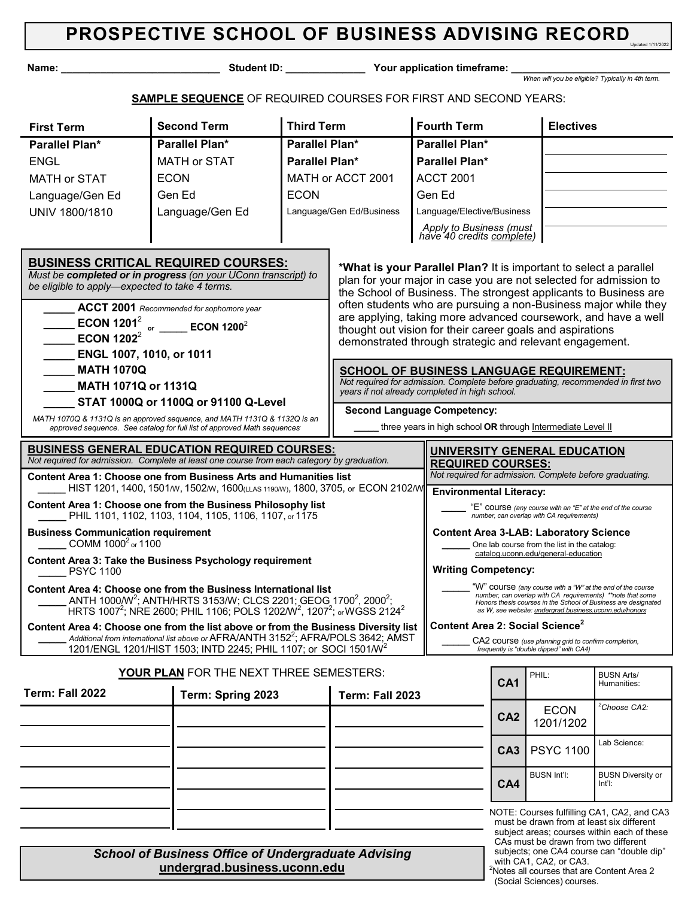| Name:                                                                |                                                                                                                                                                                                                                           | Student ID: <b>Student ID:</b>                                                                                            |                                                                                                                                       | Your application timeframe:                                                                              |                                                                                               |                                                                                                 |                                                   |  |  |
|----------------------------------------------------------------------|-------------------------------------------------------------------------------------------------------------------------------------------------------------------------------------------------------------------------------------------|---------------------------------------------------------------------------------------------------------------------------|---------------------------------------------------------------------------------------------------------------------------------------|----------------------------------------------------------------------------------------------------------|-----------------------------------------------------------------------------------------------|-------------------------------------------------------------------------------------------------|---------------------------------------------------|--|--|
|                                                                      |                                                                                                                                                                                                                                           |                                                                                                                           |                                                                                                                                       |                                                                                                          |                                                                                               |                                                                                                 | When will you be eligible? Typically in 4th term. |  |  |
|                                                                      | <b>SAMPLE SEQUENCE</b> OF REQUIRED COURSES FOR FIRST AND SECOND YEARS:                                                                                                                                                                    |                                                                                                                           |                                                                                                                                       |                                                                                                          |                                                                                               |                                                                                                 |                                                   |  |  |
| <b>First Term</b>                                                    | <b>Second Term</b>                                                                                                                                                                                                                        | <b>Third Term</b>                                                                                                         |                                                                                                                                       | <b>Fourth Term</b>                                                                                       |                                                                                               | <b>Electives</b>                                                                                |                                                   |  |  |
| Parallel Plan*                                                       | Parallel Plan*                                                                                                                                                                                                                            | Parallel Plan*                                                                                                            |                                                                                                                                       | Parallel Plan*                                                                                           |                                                                                               |                                                                                                 |                                                   |  |  |
| <b>ENGL</b>                                                          | <b>MATH or STAT</b>                                                                                                                                                                                                                       | Parallel Plan*                                                                                                            |                                                                                                                                       | <b>Parallel Plan*</b>                                                                                    |                                                                                               |                                                                                                 |                                                   |  |  |
| <b>MATH or STAT</b>                                                  | <b>ECON</b>                                                                                                                                                                                                                               |                                                                                                                           | MATH or ACCT 2001                                                                                                                     | <b>ACCT 2001</b>                                                                                         |                                                                                               |                                                                                                 |                                                   |  |  |
| Language/Gen Ed                                                      | Gen Ed                                                                                                                                                                                                                                    | <b>ECON</b>                                                                                                               |                                                                                                                                       | Gen Ed                                                                                                   |                                                                                               |                                                                                                 |                                                   |  |  |
| UNIV 1800/1810                                                       | Language/Gen Ed                                                                                                                                                                                                                           |                                                                                                                           | Language/Gen Ed/Business                                                                                                              |                                                                                                          | Language/Elective/Business                                                                    |                                                                                                 |                                                   |  |  |
|                                                                      |                                                                                                                                                                                                                                           |                                                                                                                           |                                                                                                                                       | Apply to Business (must<br>have 40 credits complete)                                                     |                                                                                               |                                                                                                 |                                                   |  |  |
|                                                                      |                                                                                                                                                                                                                                           |                                                                                                                           |                                                                                                                                       |                                                                                                          |                                                                                               |                                                                                                 |                                                   |  |  |
|                                                                      | <b>BUSINESS CRITICAL REQUIRED COURSES:</b><br>Must be completed or in progress (on your UConn transcript) to                                                                                                                              |                                                                                                                           | *What is your Parallel Plan? It is important to select a parallel                                                                     |                                                                                                          |                                                                                               |                                                                                                 |                                                   |  |  |
| be eligible to apply-expected to take 4 terms.                       |                                                                                                                                                                                                                                           |                                                                                                                           | plan for your major in case you are not selected for admission to<br>the School of Business. The strongest applicants to Business are |                                                                                                          |                                                                                               |                                                                                                 |                                                   |  |  |
|                                                                      | $\Delta$ CCT 2001 Recommended for sophomore year                                                                                                                                                                                          |                                                                                                                           | often students who are pursuing a non-Business major while they                                                                       |                                                                                                          |                                                                                               |                                                                                                 |                                                   |  |  |
| ECON 1201 $2$                                                        | are applying, taking more advanced coursework, and have a well<br>thought out vision for their career goals and aspirations                                                                                                               |                                                                                                                           |                                                                                                                                       |                                                                                                          |                                                                                               |                                                                                                 |                                                   |  |  |
| ECON 1202 $2^2$                                                      | ECON 1200 $^2$<br>or                                                                                                                                                                                                                      |                                                                                                                           | demonstrated through strategic and relevant engagement.                                                                               |                                                                                                          |                                                                                               |                                                                                                 |                                                   |  |  |
| $\sim 10^{11}$                                                       | ENGL 1007, 1010, or 1011                                                                                                                                                                                                                  |                                                                                                                           |                                                                                                                                       |                                                                                                          |                                                                                               |                                                                                                 |                                                   |  |  |
| <b>MATH 1070Q</b>                                                    | <b>SCHOOL OF BUSINESS LANGUAGE REQUIREMENT:</b>                                                                                                                                                                                           |                                                                                                                           |                                                                                                                                       |                                                                                                          |                                                                                               |                                                                                                 |                                                   |  |  |
| MATH 1071Q or 1131Q                                                  | Not required for admission. Complete before graduating, recommended in first two<br>years if not already completed in high school.                                                                                                        |                                                                                                                           |                                                                                                                                       |                                                                                                          |                                                                                               |                                                                                                 |                                                   |  |  |
|                                                                      | STAT 1000Q or 1100Q or 91100 Q-Level                                                                                                                                                                                                      |                                                                                                                           |                                                                                                                                       | <b>Second Language Competency:</b>                                                                       |                                                                                               |                                                                                                 |                                                   |  |  |
|                                                                      | MATH 1070Q & 1131Q is an approved sequence, and MATH 1131Q & 1132Q is an<br>approved sequence. See catalog for full list of approved Math sequences                                                                                       |                                                                                                                           |                                                                                                                                       | three years in high school OR through Intermediate Level II                                              |                                                                                               |                                                                                                 |                                                   |  |  |
|                                                                      | <b>BUSINESS GENERAL EDUCATION REQUIRED COURSES:</b><br>Not required for admission. Complete at least one course from each category by graduation.                                                                                         |                                                                                                                           |                                                                                                                                       |                                                                                                          |                                                                                               | UNIVERSITY GENERAL EDUCATION                                                                    |                                                   |  |  |
|                                                                      | <b>Content Area 1: Choose one from Business Arts and Humanities list</b>                                                                                                                                                                  |                                                                                                                           | <b>REQUIRED COURSES:</b><br>Not required for admission. Complete before graduating.                                                   |                                                                                                          |                                                                                               |                                                                                                 |                                                   |  |  |
|                                                                      | HIST 1201, 1400, 1501/W, 1502/W, 1600(LLAS 1190/W), 1800, 3705, or ECON 2102/W                                                                                                                                                            |                                                                                                                           |                                                                                                                                       | <b>Environmental Literacy:</b>                                                                           |                                                                                               |                                                                                                 |                                                   |  |  |
|                                                                      | Content Area 1: Choose one from the Business Philosophy list<br>PHIL 1101, 1102, 1103, 1104, 1105, 1106, 1107, or 1175                                                                                                                    |                                                                                                                           |                                                                                                                                       | "E" course (any course with an "E" at the end of the course<br>number, can overlap with CA requirements) |                                                                                               |                                                                                                 |                                                   |  |  |
| <b>Business Communication requirement</b><br>COMM $1000^2$ or $1100$ |                                                                                                                                                                                                                                           |                                                                                                                           |                                                                                                                                       |                                                                                                          | <b>Content Area 3-LAB: Laboratory Science</b><br>One lab course from the list in the catalog: |                                                                                                 |                                                   |  |  |
| <b>Content Area 3: Take the Business Psychology requirement</b>      |                                                                                                                                                                                                                                           |                                                                                                                           | catalog.uconn.edu/general-education                                                                                                   |                                                                                                          |                                                                                               |                                                                                                 |                                                   |  |  |
| <b>PSYC 1100</b>                                                     |                                                                                                                                                                                                                                           | <b>Writing Competency:</b>                                                                                                |                                                                                                                                       |                                                                                                          |                                                                                               |                                                                                                 |                                                   |  |  |
|                                                                      | Content Area 4: Choose one from the Business International list                                                                                                                                                                           | "W" course (any course with a "W" at the end of the course<br>number, can overlap with CA requirements) ** note that some |                                                                                                                                       |                                                                                                          |                                                                                               |                                                                                                 |                                                   |  |  |
|                                                                      | ANTH 1000/W <sup>2</sup> ; ANTH/HRTS 3153/W; CLCS 2201; GEOG 1700 <sup>2</sup> , 2000 <sup>2</sup> ;<br>HRTS 1007 <sup>2</sup> ; NRE 2600; PHIL 1106; POLS 1202/W <sup>2</sup> , 1207 <sup>2</sup> ; <sub>or</sub> WGSS 2124 <sup>2</sup> |                                                                                                                           |                                                                                                                                       |                                                                                                          | as W, see website: <i>undergrad.business.uconn.edu/honors</i>                                 | Honors thesis courses in the School of Business are designated                                  |                                                   |  |  |
|                                                                      | Content Area 4: Choose one from the list above or from the Business Diversity list                                                                                                                                                        |                                                                                                                           | Content Area 2: Social Science <sup>2</sup>                                                                                           |                                                                                                          |                                                                                               |                                                                                                 |                                                   |  |  |
|                                                                      | Additional from international list above or AFRA/ANTH $3152^2$ ; AFRA/POLS 3642; AMST<br>1201/ENGL 1201/HIST 1503; INTD 2245; PHIL 1107; or SOCI 1501/W <sup>2</sup>                                                                      |                                                                                                                           |                                                                                                                                       |                                                                                                          |                                                                                               | CA2 course (use planning grid to confirm completion,<br>frequently is "double dipped" with CA4) |                                                   |  |  |
|                                                                      | YOUR PLAN FOR THE NEXT THREE SEMESTERS:                                                                                                                                                                                                   |                                                                                                                           |                                                                                                                                       |                                                                                                          |                                                                                               | PHIL:                                                                                           | <b>BUSN Arts/</b>                                 |  |  |
| Term: Fall 2022                                                      | Term: Spring 2023                                                                                                                                                                                                                         |                                                                                                                           | Term: Fall 2023                                                                                                                       |                                                                                                          | CA <sub>1</sub>                                                                               |                                                                                                 | Humanities:                                       |  |  |
|                                                                      |                                                                                                                                                                                                                                           |                                                                                                                           |                                                                                                                                       |                                                                                                          |                                                                                               | <b>ECON</b>                                                                                     | <sup>2</sup> Choose CA2:                          |  |  |
|                                                                      |                                                                                                                                                                                                                                           |                                                                                                                           |                                                                                                                                       |                                                                                                          | CA <sub>2</sub>                                                                               | 1201/1202                                                                                       |                                                   |  |  |
|                                                                      |                                                                                                                                                                                                                                           |                                                                                                                           |                                                                                                                                       |                                                                                                          | CA <sub>3</sub>                                                                               | <b>PSYC 1100</b>                                                                                | Lab Science:                                      |  |  |
|                                                                      |                                                                                                                                                                                                                                           |                                                                                                                           |                                                                                                                                       |                                                                                                          |                                                                                               |                                                                                                 |                                                   |  |  |
|                                                                      |                                                                                                                                                                                                                                           |                                                                                                                           |                                                                                                                                       |                                                                                                          | CA4                                                                                           | <b>BUSN Int'l:</b>                                                                              | <b>BUSN Diversity or</b><br>Int'l:                |  |  |
|                                                                      |                                                                                                                                                                                                                                           |                                                                                                                           |                                                                                                                                       |                                                                                                          |                                                                                               |                                                                                                 |                                                   |  |  |
|                                                                      |                                                                                                                                                                                                                                           |                                                                                                                           |                                                                                                                                       |                                                                                                          |                                                                                               |                                                                                                 | NOTE: Courses fulfilling CA1, CA2, and CA3        |  |  |
|                                                                      |                                                                                                                                                                                                                                           |                                                                                                                           |                                                                                                                                       |                                                                                                          |                                                                                               | must be drawn from at least six different                                                       |                                                   |  |  |

*School of Business Office of Undergraduate Advising*  **undergrad.business.uconn.edu**

with CA1, CA2, or CA3. <sup>2</sup>Notes all courses that are Content Area 2 (Social Sciences) courses.